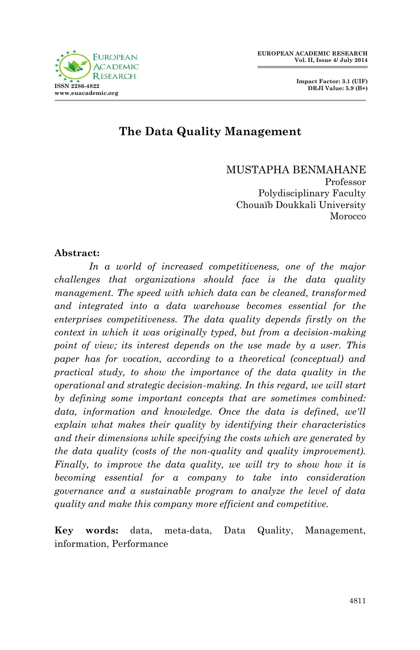



## **The Data Quality Management**

MUSTAPHA BENMAHANE

Professor Polydisciplinary Faculty Chouaïb Doukkali University Morocco

#### **Abstract:**

*In a world of increased competitiveness, one of the major challenges that organizations should face is the data quality management. The speed with which data can be cleaned, transformed and integrated into a data warehouse becomes essential for the enterprises competitiveness. The data quality depends firstly on the context in which it was originally typed, but from a decision-making point of view; its interest depends on the use made by a user. This paper has for vocation, according to a theoretical (conceptual) and practical study, to show the importance of the data quality in the operational and strategic decision-making. In this regard, we will start by defining some important concepts that are sometimes combined:*  data, information and knowledge. Once the data is defined, we'll *explain what makes their quality by identifying their characteristics and their dimensions while specifying the costs which are generated by the data quality (costs of the non-quality and quality improvement). Finally, to improve the data quality, we will try to show how it is becoming essential for a company to take into consideration governance and a sustainable program to analyze the level of data quality and make this company more efficient and competitive.*

**Key words:** data, meta-data, Data Quality, Management, information, Performance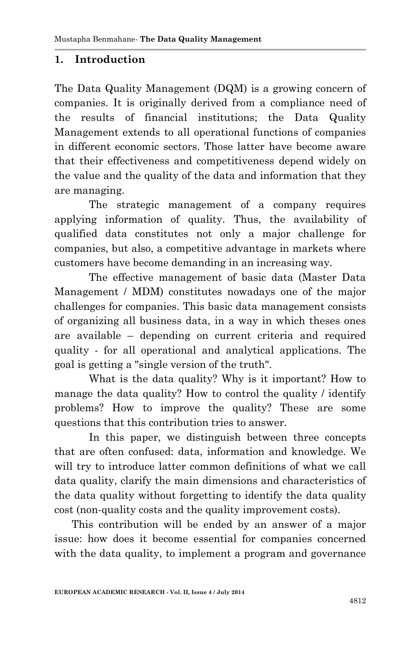#### **1. Introduction**

The Data Quality Management (DQM) is a growing concern of companies. It is originally derived from a compliance need of the results of financial institutions; the Data Quality Management extends to all operational functions of companies in different economic sectors. Those latter have become aware that their effectiveness and competitiveness depend widely on the value and the quality of the data and information that they are managing.

The strategic management of a company requires applying information of quality. Thus, the availability of qualified data constitutes not only a major challenge for companies, but also, a competitive advantage in markets where customers have become demanding in an increasing way.

The effective management of basic data (Master Data Management / MDM) constitutes nowadays one of the major challenges for companies. This basic data management consists of organizing all business data, in a way in which theses ones are available – depending on current criteria and required quality - for all operational and analytical applications. The goal is getting a "single version of the truth".

What is the data quality? Why is it important? How to manage the data quality? How to control the quality / identify problems? How to improve the quality? These are some questions that this contribution tries to answer.

In this paper, we distinguish between three concepts that are often confused: data, information and knowledge. We will try to introduce latter common definitions of what we call data quality, clarify the main dimensions and characteristics of the data quality without forgetting to identify the data quality cost (non-quality costs and the quality improvement costs).

This contribution will be ended by an answer of a major issue: how does it become essential for companies concerned with the data quality, to implement a program and governance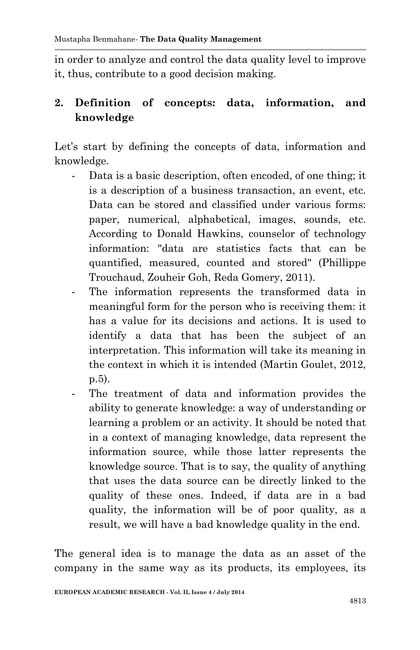in order to analyze and control the data quality level to improve it, thus, contribute to a good decision making.

## **2. Definition of concepts: data, information, and knowledge**

Let's start by defining the concepts of data, information and knowledge.

- Data is a basic description, often encoded, of one thing; it is a description of a business transaction, an event, etc. Data can be stored and classified under various forms: paper, numerical, alphabetical, images, sounds, etc. According to Donald Hawkins, counselor of technology information: "data are statistics facts that can be quantified, measured, counted and stored" (Phillippe Trouchaud, Zouheir Goh, Reda Gomery, 2011).
- The information represents the transformed data in meaningful form for the person who is receiving them: it has a value for its decisions and actions. It is used to identify a data that has been the subject of an interpretation. This information will take its meaning in the context in which it is intended (Martin Goulet, 2012, p.5).
- The treatment of data and information provides the ability to generate knowledge: a way of understanding or learning a problem or an activity. It should be noted that in a context of managing knowledge, data represent the information source, while those latter represents the knowledge source. That is to say, the quality of anything that uses the data source can be directly linked to the quality of these ones. Indeed, if data are in a bad quality, the information will be of poor quality, as a result, we will have a bad knowledge quality in the end.

The general idea is to manage the data as an asset of the company in the same way as its products, its employees, its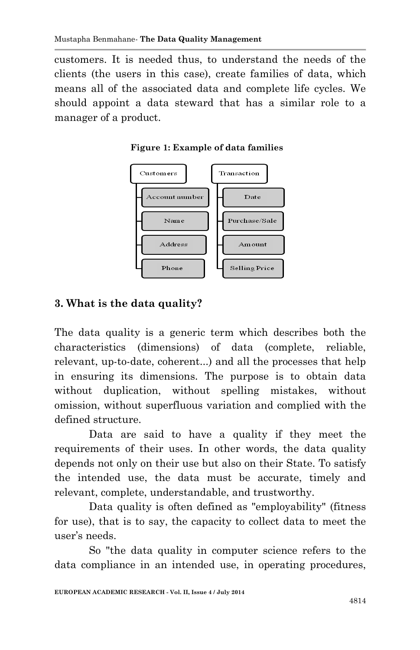customers. It is needed thus, to understand the needs of the clients (the users in this case), create families of data, which means all of the associated data and complete life cycles. We should appoint a data steward that has a similar role to a manager of a product.





# **3. What is the data quality?**

The data quality is a generic term which describes both the characteristics (dimensions) of data (complete, reliable, relevant, up-to-date, coherent...) and all the processes that help in ensuring its dimensions. The purpose is to obtain data without duplication, without spelling mistakes, without omission, without superfluous variation and complied with the defined structure.

Data are said to have a quality if they meet the requirements of their uses. In other words, the data quality depends not only on their use but also on their State. To satisfy the intended use, the data must be accurate, timely and relevant, complete, understandable, and trustworthy.

Data quality is often defined as "employability" (fitness for use), that is to say, the capacity to collect data to meet the user's needs.

So "the data quality in computer science refers to the data compliance in an intended use, in operating procedures,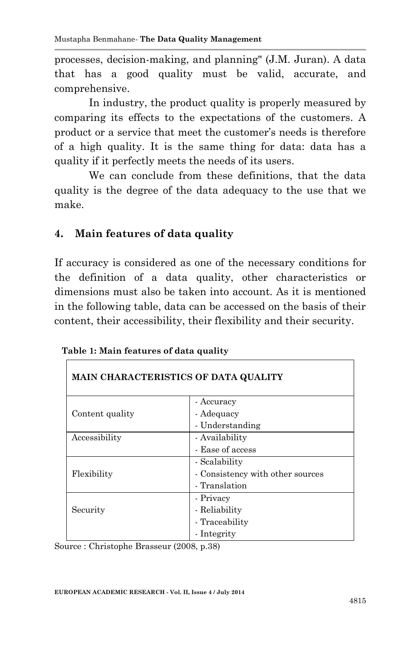processes, decision-making, and planning" (J.M. Juran). A data that has a good quality must be valid, accurate, and comprehensive.

In industry, the product quality is properly measured by comparing its effects to the expectations of the customers. A product or a service that meet the customer's needs is therefore of a high quality. It is the same thing for data: data has a quality if it perfectly meets the needs of its users.

We can conclude from these definitions, that the data quality is the degree of the data adequacy to the use that we make.

### **4. Main features of data quality**

If accuracy is considered as one of the necessary conditions for the definition of a data quality, other characteristics or dimensions must also be taken into account. As it is mentioned in the following table, data can be accessed on the basis of their content, their accessibility, their flexibility and their security.

| <b>MAIN CHARACTERISTICS OF DATA QUALITY</b> |                                  |  |
|---------------------------------------------|----------------------------------|--|
|                                             | - Accuracy                       |  |
| Content quality                             | - Adequacy                       |  |
|                                             | - Understanding                  |  |
| Accessibility                               | - Availability                   |  |
|                                             | - Ease of access                 |  |
|                                             | - Scalability                    |  |
| Flexibility                                 | - Consistency with other sources |  |
|                                             | - Translation                    |  |
|                                             | - Privacy                        |  |
| Security                                    | - Reliability                    |  |
|                                             | - Traceability                   |  |
|                                             | - Integrity                      |  |

**Table 1: Main features of data quality**

Source : Christophe Brasseur (2008, p.38)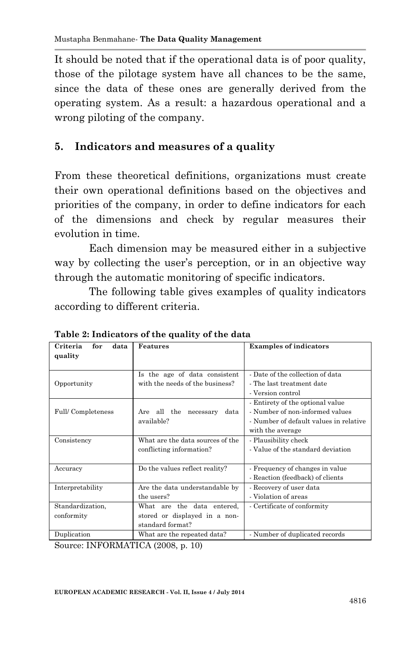It should be noted that if the operational data is of poor quality, those of the pilotage system have all chances to be the same, since the data of these ones are generally derived from the operating system. As a result: a hazardous operational and a wrong piloting of the company.

### **5. Indicators and measures of a quality**

From these theoretical definitions, organizations must create their own operational definitions based on the objectives and priorities of the company, in order to define indicators for each of the dimensions and check by regular measures their evolution in time.

Each dimension may be measured either in a subjective way by collecting the user's perception, or in an objective way through the automatic monitoring of specific indicators.

The following table gives examples of quality indicators according to different criteria.

|                                    | rasic = mandavors or the quality or the data                                    |                                                                                                                                   |
|------------------------------------|---------------------------------------------------------------------------------|-----------------------------------------------------------------------------------------------------------------------------------|
| Criteria<br>for<br>data<br>quality | Features                                                                        | <b>Examples of indicators</b>                                                                                                     |
| Opportunity                        | Is the age of data consistent<br>with the needs of the business?                | - Date of the collection of data<br>- The last treatment date<br>- Version control                                                |
| Full/Completeness                  | Are all the necessary<br>data<br>available?                                     | - Entirety of the optional value<br>- Number of non-informed values<br>- Number of default values in relative<br>with the average |
| Consistency                        | What are the data sources of the<br>conflicting information?                    | - Plausibility check<br>- Value of the standard deviation                                                                         |
| Accuracy                           | Do the values reflect reality?                                                  | - Frequency of changes in value<br>- Reaction (feedback) of clients                                                               |
| Interpretability                   | Are the data understandable by<br>the users?                                    | - Recovery of user data<br>- Violation of areas                                                                                   |
| Standardization,<br>conformity     | What are the data entered,<br>stored or displayed in a non-<br>standard format? | - Certificate of conformity                                                                                                       |
| Duplication                        | What are the repeated data?<br>----------                                       | - Number of duplicated records                                                                                                    |

**Table 2: Indicators of the quality of the data**

Source: INFORMATICA (2008, p. 10)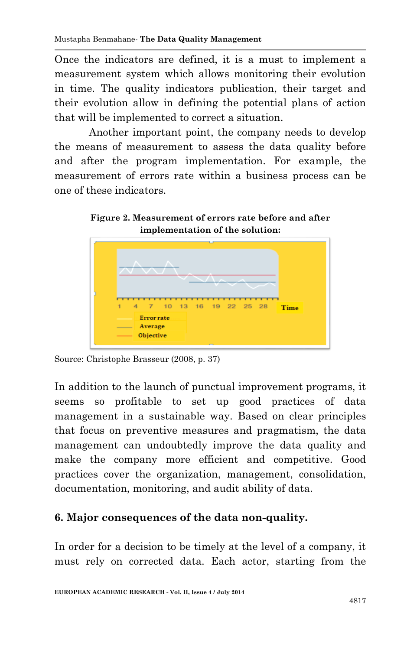Once the indicators are defined, it is a must to implement a measurement system which allows monitoring their evolution in time. The quality indicators publication, their target and their evolution allow in defining the potential plans of action that will be implemented to correct a situation.

Another important point, the company needs to develop the means of measurement to assess the data quality before and after the program implementation. For example, the measurement of errors rate within a business process can be one of these indicators.

**Figure 2. Measurement of errors rate before and after implementation of the solution:**



Source: Christophe Brasseur (2008, p. 37)

In addition to the launch of punctual improvement programs, it seems so profitable to set up good practices of data management in a sustainable way. Based on clear principles that focus on preventive measures and pragmatism, the data management can undoubtedly improve the data quality and make the company more efficient and competitive. Good practices cover the organization, management, consolidation, documentation, monitoring, and audit ability of data.

#### **6. Major consequences of the data non-quality.**

In order for a decision to be timely at the level of a company, it must rely on corrected data. Each actor, starting from the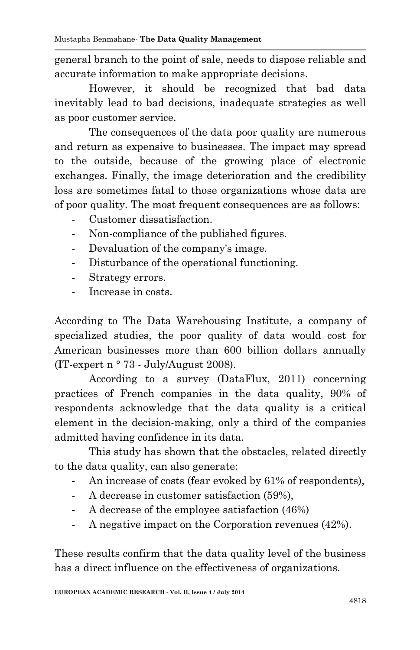general branch to the point of sale, needs to dispose reliable and accurate information to make appropriate decisions.

However, it should be recognized that bad data inevitably lead to bad decisions, inadequate strategies as well as poor customer service.

The consequences of the data poor quality are numerous and return as expensive to businesses. The impact may spread to the outside, because of the growing place of electronic exchanges. Finally, the image deterioration and the credibility loss are sometimes fatal to those organizations whose data are of poor quality. The most frequent consequences are as follows:

- Customer dissatisfaction.
- Non-compliance of the published figures.
- Devaluation of the company's image.
- Disturbance of the operational functioning.
- Strategy errors.
- Increase in costs.

According to The Data Warehousing Institute, a company of specialized studies, the poor quality of data would cost for American businesses more than 600 billion dollars annually (IT-expert n ° 73 - July/August 2008).

According to a survey (DataFlux, 2011) concerning practices of French companies in the data quality, 90% of respondents acknowledge that the data quality is a critical element in the decision-making, only a third of the companies admitted having confidence in its data.

This study has shown that the obstacles, related directly to the data quality, can also generate:

- An increase of costs (fear evoked by 61% of respondents),
- A decrease in customer satisfaction (59%),
- A decrease of the employee satisfaction (46%)
- A negative impact on the Corporation revenues (42%).

These results confirm that the data quality level of the business has a direct influence on the effectiveness of organizations.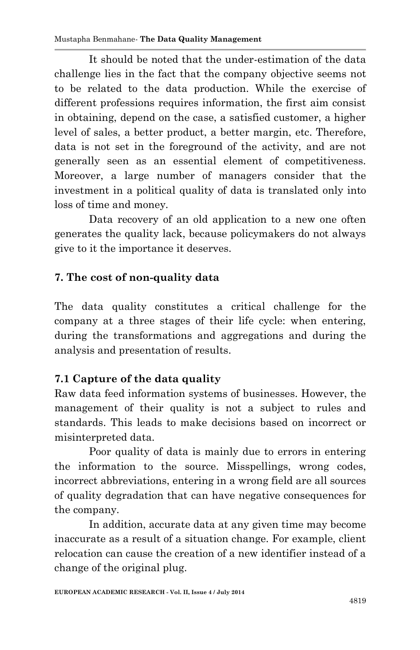It should be noted that the under-estimation of the data challenge lies in the fact that the company objective seems not to be related to the data production. While the exercise of different professions requires information, the first aim consist in obtaining, depend on the case, a satisfied customer, a higher level of sales, a better product, a better margin, etc. Therefore, data is not set in the foreground of the activity, and are not generally seen as an essential element of competitiveness. Moreover, a large number of managers consider that the investment in a political quality of data is translated only into loss of time and money.

Data recovery of an old application to a new one often generates the quality lack, because policymakers do not always give to it the importance it deserves.

## **7. The cost of non-quality data**

The data quality constitutes a critical challenge for the company at a three stages of their life cycle: when entering, during the transformations and aggregations and during the analysis and presentation of results.

# **7.1 Capture of the data quality**

Raw data feed information systems of businesses. However, the management of their quality is not a subject to rules and standards. This leads to make decisions based on incorrect or misinterpreted data.

Poor quality of data is mainly due to errors in entering the information to the source. Misspellings, wrong codes, incorrect abbreviations, entering in a wrong field are all sources of quality degradation that can have negative consequences for the company.

In addition, accurate data at any given time may become inaccurate as a result of a situation change. For example, client relocation can cause the creation of a new identifier instead of a change of the original plug.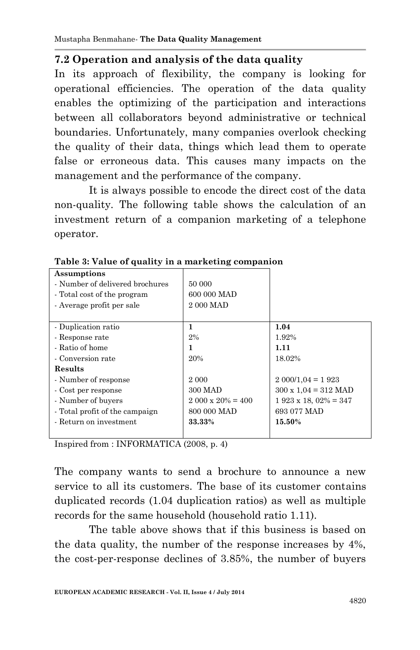#### **7.2 Operation and analysis of the data quality**

In its approach of flexibility, the company is looking for operational efficiencies. The operation of the data quality enables the optimizing of the participation and interactions between all collaborators beyond administrative or technical boundaries. Unfortunately, many companies overlook checking the quality of their data, things which lead them to operate false or erroneous data. This causes many impacts on the management and the performance of the company.

It is always possible to encode the direct cost of the data non-quality. The following table shows the calculation of an investment return of a companion marketing of a telephone operator.

| Assumptions<br>- Number of delivered brochures<br>- Total cost of the program<br>- Average profit per sale | 50 000<br>600 000 MAD<br>2 000 MAD |                                     |
|------------------------------------------------------------------------------------------------------------|------------------------------------|-------------------------------------|
| - Duplication ratio                                                                                        | 1                                  | 1.04                                |
| - Response rate                                                                                            | 2%                                 | 1.92%                               |
| - Ratio of home                                                                                            | 1                                  | 1.11                                |
| - Conversion rate                                                                                          | 20%                                | 18.02%                              |
| <b>Results</b>                                                                                             |                                    |                                     |
| - Number of response                                                                                       | 2 000                              | $2000/1,04 = 1923$                  |
| - Cost per response                                                                                        | 300 MAD                            | $300 \times 1.04 = 312 \text{ MAD}$ |
| - Number of buyers                                                                                         | $2.000 \times 20\% = 400$          | $1923 \times 18,02\% = 347$         |
| - Total profit of the campaign                                                                             | 800 000 MAD                        | 693 077 MAD                         |
| - Return on investment                                                                                     | 33.33%                             | 15.50%                              |

**Table 3: Value of quality in a marketing companion**

Inspired from : INFORMATICA (2008, p. 4)

The company wants to send a brochure to announce a new service to all its customers. The base of its customer contains duplicated records (1.04 duplication ratios) as well as multiple records for the same household (household ratio 1.11).

The table above shows that if this business is based on the data quality, the number of the response increases by 4%, the cost-per-response declines of 3.85%, the number of buyers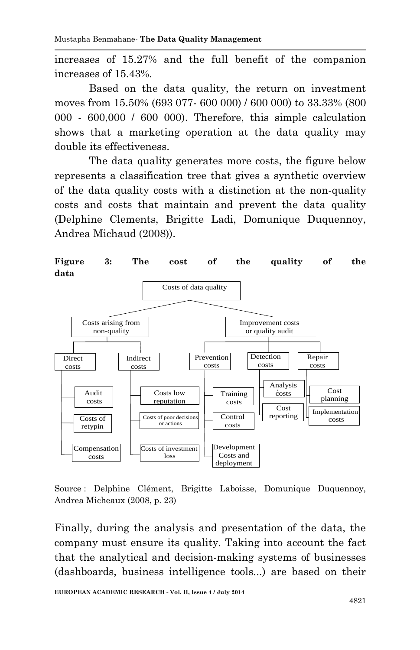increases of 15.27% and the full benefit of the companion increases of 15.43%.

Based on the data quality, the return on investment moves from 15.50% (693 077- 600 000) / 600 000) to 33.33% (800 000 - 600,000 / 600 000). Therefore, this simple calculation shows that a marketing operation at the data quality may double its effectiveness.

The data quality generates more costs, the figure below represents a classification tree that gives a synthetic overview of the data quality costs with a distinction at the non-quality costs and costs that maintain and prevent the data quality (Delphine Clements, Brigitte Ladi, Domunique Duquennoy, Andrea Michaud (2008)).



Source : Delphine Clément, Brigitte Laboisse, Domunique Duquennoy, Andrea Micheaux (2008, p. 23)

Finally, during the analysis and presentation of the data, the company must ensure its quality. Taking into account the fact that the analytical and decision-making systems of businesses (dashboards, business intelligence tools...) are based on their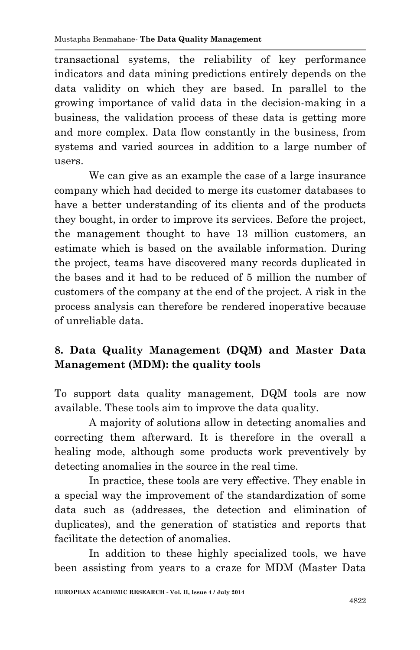transactional systems, the reliability of key performance indicators and data mining predictions entirely depends on the data validity on which they are based. In parallel to the growing importance of valid data in the decision-making in a business, the validation process of these data is getting more and more complex. Data flow constantly in the business, from systems and varied sources in addition to a large number of users.

We can give as an example the case of a large insurance company which had decided to merge its customer databases to have a better understanding of its clients and of the products they bought, in order to improve its services. Before the project, the management thought to have 13 million customers, an estimate which is based on the available information. During the project, teams have discovered many records duplicated in the bases and it had to be reduced of 5 million the number of customers of the company at the end of the project. A risk in the process analysis can therefore be rendered inoperative because of unreliable data.

# **8. Data Quality Management (DQM) and Master Data Management (MDM): the quality tools**

To support data quality management, DQM tools are now available. These tools aim to improve the data quality.

A majority of solutions allow in detecting anomalies and correcting them afterward. It is therefore in the overall a healing mode, although some products work preventively by detecting anomalies in the source in the real time.

In practice, these tools are very effective. They enable in a special way the improvement of the standardization of some data such as (addresses, the detection and elimination of duplicates), and the generation of statistics and reports that facilitate the detection of anomalies.

In addition to these highly specialized tools, we have been assisting from years to a craze for MDM (Master Data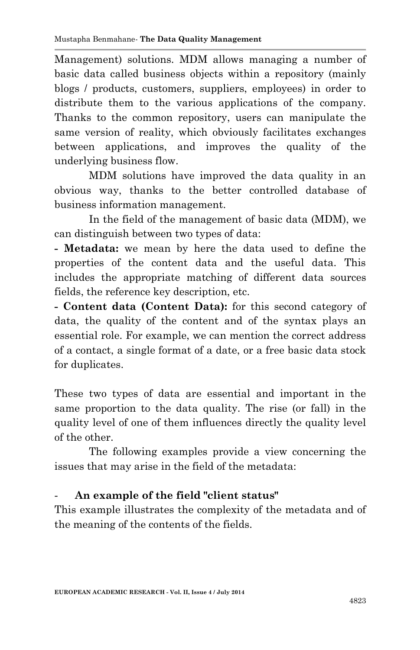Management) solutions. MDM allows managing a number of basic data called business objects within a repository (mainly blogs / products, customers, suppliers, employees) in order to distribute them to the various applications of the company. Thanks to the common repository, users can manipulate the same version of reality, which obviously facilitates exchanges between applications, and improves the quality of the underlying business flow.

MDM solutions have improved the data quality in an obvious way, thanks to the better controlled database of business information management.

In the field of the management of basic data (MDM), we can distinguish between two types of data:

**- Metadata:** we mean by here the data used to define the properties of the content data and the useful data. This includes the appropriate matching of different data sources fields, the reference key description, etc.

**- Content data (Content Data):** for this second category of data, the quality of the content and of the syntax plays an essential role. For example, we can mention the correct address of a contact, a single format of a date, or a free basic data stock for duplicates.

These two types of data are essential and important in the same proportion to the data quality. The rise (or fall) in the quality level of one of them influences directly the quality level of the other.

The following examples provide a view concerning the issues that may arise in the field of the metadata:

### - **An example of the field "client status"**

This example illustrates the complexity of the metadata and of the meaning of the contents of the fields.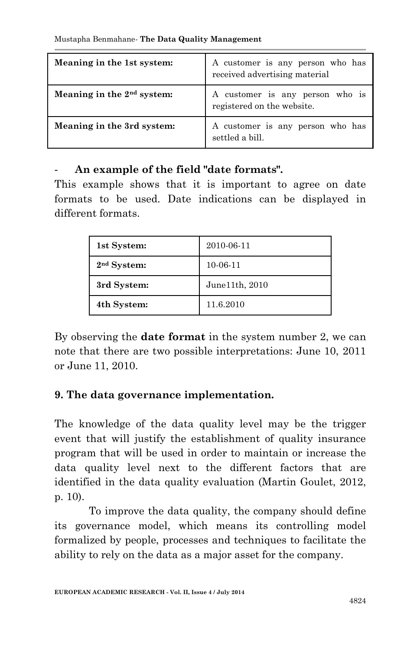| Meaning in the 1st system:   | A customer is any person who has<br>received advertising material |
|------------------------------|-------------------------------------------------------------------|
| Meaning in the $2nd$ system: | A customer is any person who is<br>registered on the website.     |
| Meaning in the 3rd system:   | A customer is any person who has<br>settled a bill.               |

#### - **An example of the field "date formats".**

This example shows that it is important to agree on date formats to be used. Date indications can be displayed in different formats.

| 1st System:             | 2010-06-11     |
|-------------------------|----------------|
| 2 <sup>nd</sup> System: | 10-06-11       |
| 3rd System:             | June11th, 2010 |
| 4th System:             | 11.6.2010      |

By observing the **date format** in the system number 2, we can note that there are two possible interpretations: June 10, 2011 or June 11, 2010.

### **9. The data governance implementation.**

The knowledge of the data quality level may be the trigger event that will justify the establishment of quality insurance program that will be used in order to maintain or increase the data quality level next to the different factors that are identified in the data quality evaluation (Martin Goulet, 2012, p. 10).

To improve the data quality, the company should define its governance model, which means its controlling model formalized by people, processes and techniques to facilitate the ability to rely on the data as a major asset for the company.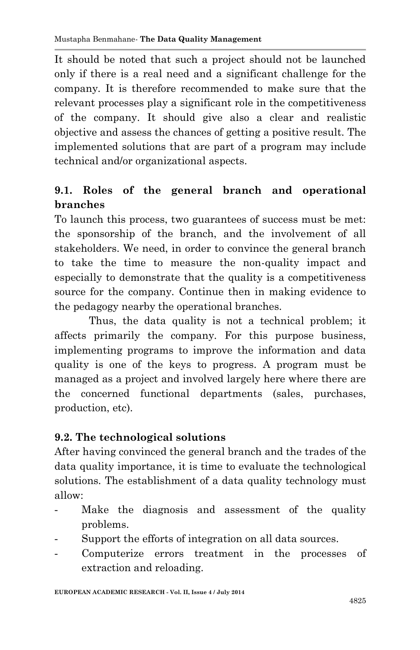It should be noted that such a project should not be launched only if there is a real need and a significant challenge for the company. It is therefore recommended to make sure that the relevant processes play a significant role in the competitiveness of the company. It should give also a clear and realistic objective and assess the chances of getting a positive result. The implemented solutions that are part of a program may include technical and/or organizational aspects.

# **9.1. Roles of the general branch and operational branches**

To launch this process, two guarantees of success must be met: the sponsorship of the branch, and the involvement of all stakeholders. We need, in order to convince the general branch to take the time to measure the non-quality impact and especially to demonstrate that the quality is a competitiveness source for the company. Continue then in making evidence to the pedagogy nearby the operational branches.

Thus, the data quality is not a technical problem; it affects primarily the company. For this purpose business, implementing programs to improve the information and data quality is one of the keys to progress. A program must be managed as a project and involved largely here where there are the concerned functional departments (sales, purchases, production, etc).

### **9.2. The technological solutions**

After having convinced the general branch and the trades of the data quality importance, it is time to evaluate the technological solutions. The establishment of a data quality technology must allow:

- Make the diagnosis and assessment of the quality problems.
- Support the efforts of integration on all data sources.
- Computerize errors treatment in the processes of extraction and reloading.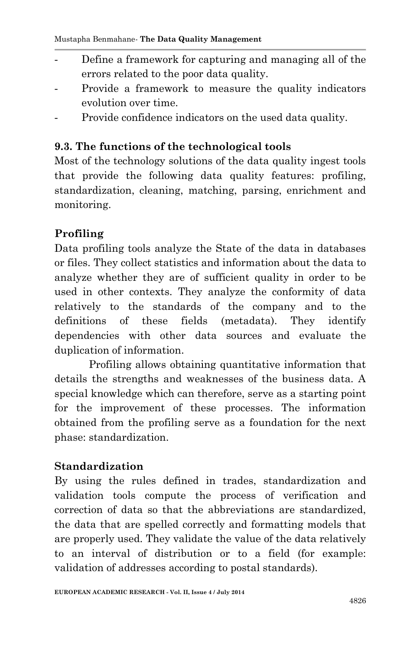- Define a framework for capturing and managing all of the errors related to the poor data quality.
- Provide a framework to measure the quality indicators evolution over time.
- Provide confidence indicators on the used data quality.

#### **9.3. The functions of the technological tools**

Most of the technology solutions of the data quality ingest tools that provide the following data quality features: profiling, standardization, cleaning, matching, parsing, enrichment and monitoring.

## **Profiling**

Data profiling tools analyze the State of the data in databases or files. They collect statistics and information about the data to analyze whether they are of sufficient quality in order to be used in other contexts. They analyze the conformity of data relatively to the standards of the company and to the definitions of these fields (metadata). They identify dependencies with other data sources and evaluate the duplication of information.

Profiling allows obtaining quantitative information that details the strengths and weaknesses of the business data. A special knowledge which can therefore, serve as a starting point for the improvement of these processes. The information obtained from the profiling serve as a foundation for the next phase: standardization.

### **Standardization**

By using the rules defined in trades, standardization and validation tools compute the process of verification and correction of data so that the abbreviations are standardized, the data that are spelled correctly and formatting models that are properly used. They validate the value of the data relatively to an interval of distribution or to a field (for example: validation of addresses according to postal standards).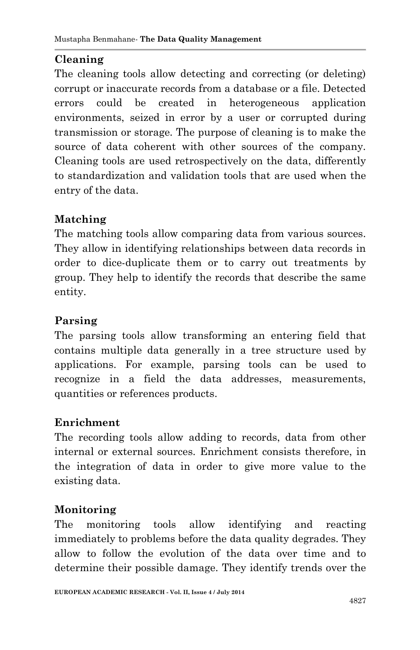# **Cleaning**

The cleaning tools allow detecting and correcting (or deleting) corrupt or inaccurate records from a database or a file. Detected errors could be created in heterogeneous application environments, seized in error by a user or corrupted during transmission or storage. The purpose of cleaning is to make the source of data coherent with other sources of the company. Cleaning tools are used retrospectively on the data, differently to standardization and validation tools that are used when the entry of the data.

### **Matching**

The matching tools allow comparing data from various sources. They allow in identifying relationships between data records in order to dice-duplicate them or to carry out treatments by group. They help to identify the records that describe the same entity.

### **Parsing**

The parsing tools allow transforming an entering field that contains multiple data generally in a tree structure used by applications. For example, parsing tools can be used to recognize in a field the data addresses, measurements, quantities or references products.

#### **Enrichment**

The recording tools allow adding to records, data from other internal or external sources. Enrichment consists therefore, in the integration of data in order to give more value to the existing data.

#### **Monitoring**

The monitoring tools allow identifying and reacting immediately to problems before the data quality degrades. They allow to follow the evolution of the data over time and to determine their possible damage. They identify trends over the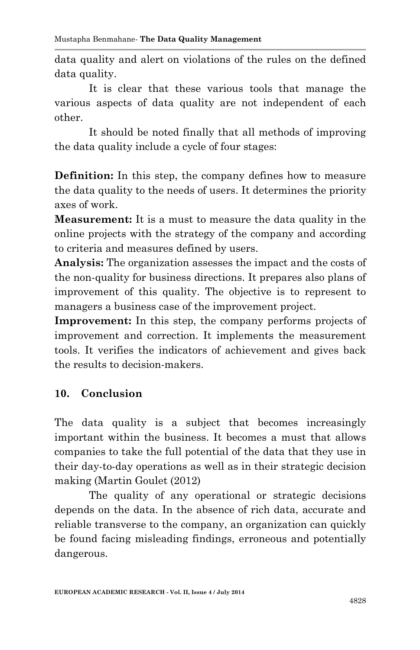data quality and alert on violations of the rules on the defined data quality.

It is clear that these various tools that manage the various aspects of data quality are not independent of each other.

It should be noted finally that all methods of improving the data quality include a cycle of four stages:

**Definition:** In this step, the company defines how to measure the data quality to the needs of users. It determines the priority axes of work.

**Measurement:** It is a must to measure the data quality in the online projects with the strategy of the company and according to criteria and measures defined by users.

**Analysis:** The organization assesses the impact and the costs of the non-quality for business directions. It prepares also plans of improvement of this quality. The objective is to represent to managers a business case of the improvement project.

**Improvement:** In this step, the company performs projects of improvement and correction. It implements the measurement tools. It verifies the indicators of achievement and gives back the results to decision-makers.

### **10. Conclusion**

The data quality is a subject that becomes increasingly important within the business. It becomes a must that allows companies to take the full potential of the data that they use in their day-to-day operations as well as in their strategic decision making (Martin Goulet (2012)

The quality of any operational or strategic decisions depends on the data. In the absence of rich data, accurate and reliable transverse to the company, an organization can quickly be found facing misleading findings, erroneous and potentially dangerous.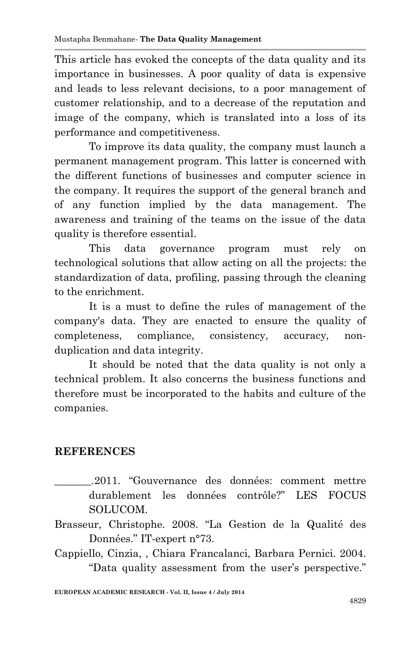This article has evoked the concepts of the data quality and its importance in businesses. A poor quality of data is expensive and leads to less relevant decisions, to a poor management of customer relationship, and to a decrease of the reputation and image of the company, which is translated into a loss of its performance and competitiveness.

To improve its data quality, the company must launch a permanent management program. This latter is concerned with the different functions of businesses and computer science in the company. It requires the support of the general branch and of any function implied by the data management. The awareness and training of the teams on the issue of the data quality is therefore essential.

This data governance program must rely on technological solutions that allow acting on all the projects: the standardization of data, profiling, passing through the cleaning to the enrichment.

It is a must to define the rules of management of the company's data. They are enacted to ensure the quality of completeness, compliance, consistency, accuracy, nonduplication and data integrity.

It should be noted that the data quality is not only a technical problem. It also concerns the business functions and therefore must be incorporated to the habits and culture of the companies.

### **REFERENCES**

- \_\_\_\_\_\_\_.2011. "Gouvernance des données: comment mettre durablement les données contrôle?" LES FOCUS SOLUCOM.
- Brasseur, Christophe. 2008. "La Gestion de la Qualité des Données." IT-expert n°73.
- Cappiello, Cinzia, , Chiara Francalanci, Barbara Pernici. 2004. "Data quality assessment from the user's perspective."